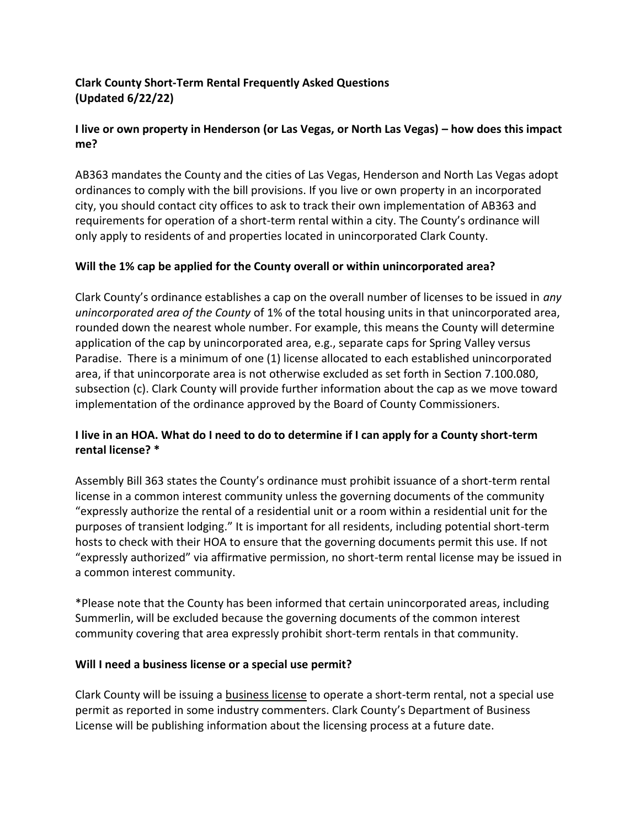# **Clark County Short-Term Rental Frequently Asked Questions (Updated 6/22/22)**

# **I live or own property in Henderson (or Las Vegas, or North Las Vegas) – how does this impact me?**

AB363 mandates the County and the cities of Las Vegas, Henderson and North Las Vegas adopt ordinances to comply with the bill provisions. If you live or own property in an incorporated city, you should contact city offices to ask to track their own implementation of AB363 and requirements for operation of a short-term rental within a city. The County's ordinance will only apply to residents of and properties located in unincorporated Clark County.

## **Will the 1% cap be applied for the County overall or within unincorporated area?**

Clark County's ordinance establishes a cap on the overall number of licenses to be issued in *any unincorporated area of the County* of 1% of the total housing units in that unincorporated area, rounded down the nearest whole number. For example, this means the County will determine application of the cap by unincorporated area, e.g., separate caps for Spring Valley versus Paradise. There is a minimum of one (1) license allocated to each established unincorporated area, if that unincorporate area is not otherwise excluded as set forth in Section 7.100.080, subsection (c). Clark County will provide further information about the cap as we move toward implementation of the ordinance approved by the Board of County Commissioners.

## **I live in an HOA. What do I need to do to determine if I can apply for a County short-term rental license? \***

Assembly Bill 363 states the County's ordinance must prohibit issuance of a short-term rental license in a common interest community unless the governing documents of the community "expressly authorize the rental of a residential unit or a room within a residential unit for the purposes of transient lodging." It is important for all residents, including potential short-term hosts to check with their HOA to ensure that the governing documents permit this use. If not "expressly authorized" via affirmative permission, no short-term rental license may be issued in a common interest community.

\*Please note that the County has been informed that certain unincorporated areas, including Summerlin, will be excluded because the governing documents of the common interest community covering that area expressly prohibit short-term rentals in that community.

## **Will I need a business license or a special use permit?**

Clark County will be issuing a business license to operate a short-term rental, not a special use permit as reported in some industry commenters. Clark County's Department of Business License will be publishing information about the licensing process at a future date.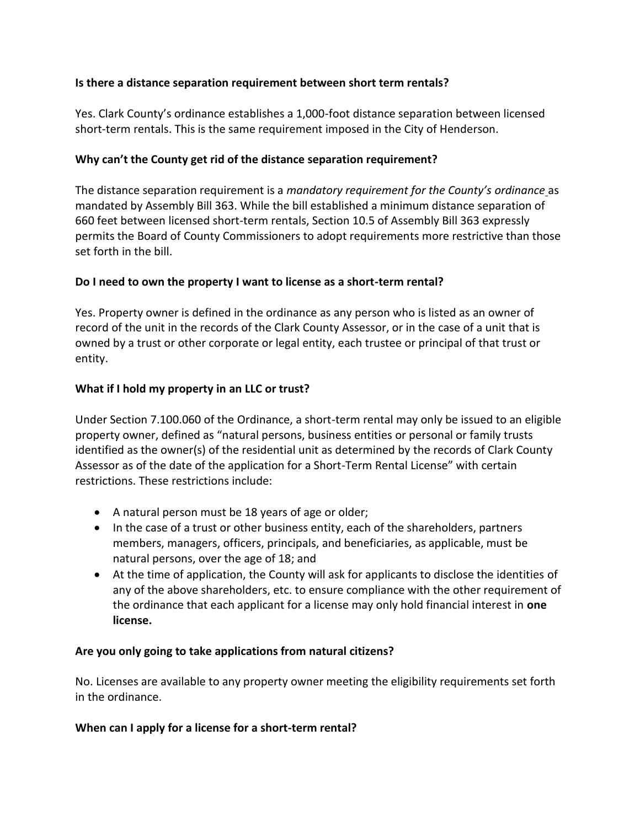## **Is there a distance separation requirement between short term rentals?**

Yes. Clark County's ordinance establishes a 1,000-foot distance separation between licensed short-term rentals. This is the same requirement imposed in the City of Henderson.

#### **Why can't the County get rid of the distance separation requirement?**

The distance separation requirement is a *mandatory requirement for the County's ordinance* as mandated by Assembly Bill 363. While the bill established a minimum distance separation of 660 feet between licensed short-term rentals, Section 10.5 of Assembly Bill 363 expressly permits the Board of County Commissioners to adopt requirements more restrictive than those set forth in the bill.

### **Do I need to own the property I want to license as a short-term rental?**

Yes. Property owner is defined in the ordinance as any person who is listed as an owner of record of the unit in the records of the Clark County Assessor, or in the case of a unit that is owned by a trust or other corporate or legal entity, each trustee or principal of that trust or entity.

#### **What if I hold my property in an LLC or trust?**

Under Section 7.100.060 of the Ordinance, a short-term rental may only be issued to an eligible property owner, defined as "natural persons, business entities or personal or family trusts identified as the owner(s) of the residential unit as determined by the records of Clark County Assessor as of the date of the application for a Short-Term Rental License" with certain restrictions. These restrictions include:

- A natural person must be 18 years of age or older;
- In the case of a trust or other business entity, each of the shareholders, partners members, managers, officers, principals, and beneficiaries, as applicable, must be natural persons, over the age of 18; and
- At the time of application, the County will ask for applicants to disclose the identities of any of the above shareholders, etc. to ensure compliance with the other requirement of the ordinance that each applicant for a license may only hold financial interest in **one license.**

#### **Are you only going to take applications from natural citizens?**

No. Licenses are available to any property owner meeting the eligibility requirements set forth in the ordinance.

#### **When can I apply for a license for a short-term rental?**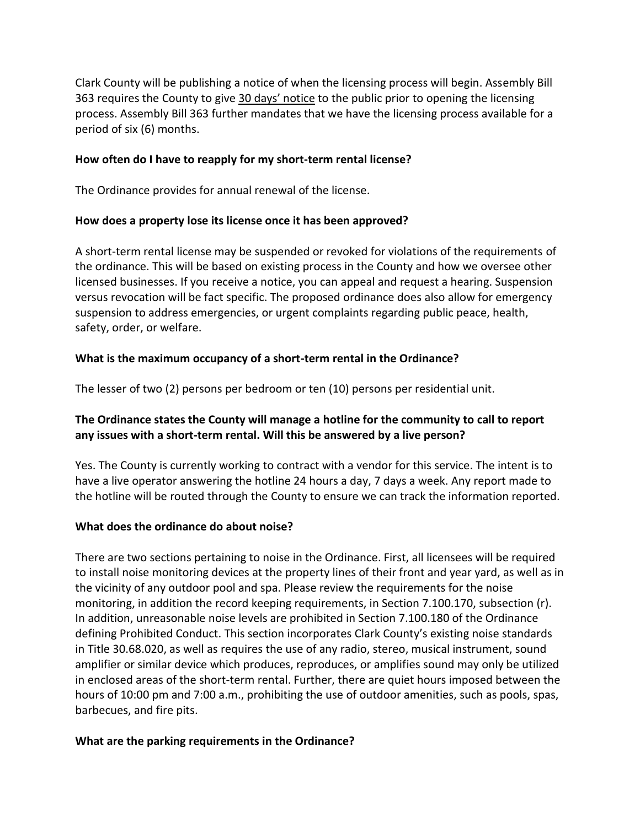Clark County will be publishing a notice of when the licensing process will begin. Assembly Bill 363 requires the County to give 30 days' notice to the public prior to opening the licensing process. Assembly Bill 363 further mandates that we have the licensing process available for a period of six (6) months.

#### **How often do I have to reapply for my short-term rental license?**

The Ordinance provides for annual renewal of the license.

### **How does a property lose its license once it has been approved?**

A short-term rental license may be suspended or revoked for violations of the requirements of the ordinance. This will be based on existing process in the County and how we oversee other licensed businesses. If you receive a notice, you can appeal and request a hearing. Suspension versus revocation will be fact specific. The proposed ordinance does also allow for emergency suspension to address emergencies, or urgent complaints regarding public peace, health, safety, order, or welfare.

## **What is the maximum occupancy of a short-term rental in the Ordinance?**

The lesser of two (2) persons per bedroom or ten (10) persons per residential unit.

## **The Ordinance states the County will manage a hotline for the community to call to report any issues with a short-term rental. Will this be answered by a live person?**

Yes. The County is currently working to contract with a vendor for this service. The intent is to have a live operator answering the hotline 24 hours a day, 7 days a week. Any report made to the hotline will be routed through the County to ensure we can track the information reported.

## **What does the ordinance do about noise?**

There are two sections pertaining to noise in the Ordinance. First, all licensees will be required to install noise monitoring devices at the property lines of their front and year yard, as well as in the vicinity of any outdoor pool and spa. Please review the requirements for the noise monitoring, in addition the record keeping requirements, in Section 7.100.170, subsection (r). In addition, unreasonable noise levels are prohibited in Section 7.100.180 of the Ordinance defining Prohibited Conduct. This section incorporates Clark County's existing noise standards in Title 30.68.020, as well as requires the use of any radio, stereo, musical instrument, sound amplifier or similar device which produces, reproduces, or amplifies sound may only be utilized in enclosed areas of the short-term rental. Further, there are quiet hours imposed between the hours of 10:00 pm and 7:00 a.m., prohibiting the use of outdoor amenities, such as pools, spas, barbecues, and fire pits.

## **What are the parking requirements in the Ordinance?**